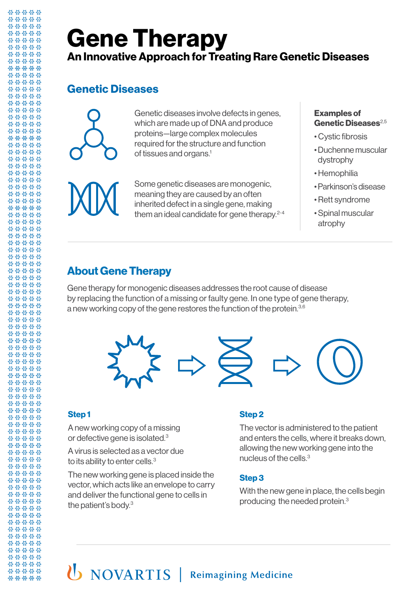# **Gene Therapy An Innovative Approach for Treating Rare Genetic Diseases**

## **Genetic Diseases**



Genetic diseases involve defects in genes, which are made up of DNA and produce proteins—large complex molecules required for the structure and function of tissues and organs.1

Some genetic diseases are monogenic, meaning they are caused by an often inherited defect in a single gene, making them an ideal candidate for gene therapy.<sup>2-4</sup>

#### **Examples of**  Genetic Diseases<sup>2,5</sup>

- Cystic fibrosis
- Duchenne muscular dystrophy
- Hemophilia
- Parkinson's disease
- Rett syndrome
- Spinal muscular atrophy

## **About Gene Therapy**

Gene therapy for monogenic diseases addresses the root cause of disease by replacing the function of a missing or faulty gene. In one type of gene therapy, a new working copy of the gene restores the function of the protein.<sup>3,6</sup>



### **Step 1**

A new working copy of a missing or defective gene is isolated.<sup>3</sup>

A virus is selected as a vector due to its ability to enter cells.<sup>3</sup>

The new working gene is placed inside the vector, which acts like an envelope to carry and deliver the functional gene to cells in the patient's body.3

### **Step 2**

The vector is administered to the patient and enters the cells, where it breaks down, allowing the new working gene into the nucleus of the cells.3

#### **Step 3**

With the new gene in place, the cells begin producing the needed protein.3